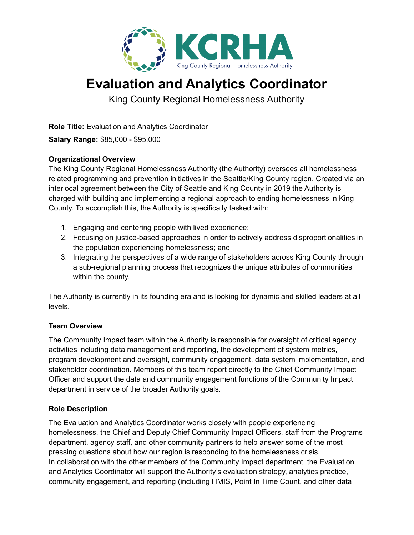

# **Evaluation and Analytics Coordinator**

King County Regional Homelessness Authority

**Role Title:** Evaluation and Analytics Coordinator

**Salary Range:** \$85,000 - \$95,000

## **Organizational Overview**

The King County Regional Homelessness Authority (the Authority) oversees all homelessness related programming and prevention initiatives in the Seattle/King County region. Created via an interlocal agreement between the City of Seattle and King County in 2019 the Authority is charged with building and implementing a regional approach to ending homelessness in King County. To accomplish this, the Authority is specifically tasked with:

- 1. Engaging and centering people with lived experience;
- 2. Focusing on justice-based approaches in order to actively address disproportionalities in the population experiencing homelessness; and
- 3. Integrating the perspectives of a wide range of stakeholders across King County through a sub-regional planning process that recognizes the unique attributes of communities within the county.

The Authority is currently in its founding era and is looking for dynamic and skilled leaders at all levels.

## **Team Overview**

The Community Impact team within the Authority is responsible for oversight of critical agency activities including data management and reporting, the development of system metrics, program development and oversight, community engagement, data system implementation, and stakeholder coordination. Members of this team report directly to the Chief Community Impact Officer and support the data and community engagement functions of the Community Impact department in service of the broader Authority goals.

## **Role Description**

The Evaluation and Analytics Coordinator works closely with people experiencing homelessness, the Chief and Deputy Chief Community Impact Officers, staff from the Programs department, agency staff, and other community partners to help answer some of the most pressing questions about how our region is responding to the homelessness crisis. In collaboration with the other members of the Community Impact department, the Evaluation and Analytics Coordinator will support the Authority's evaluation strategy, analytics practice, community engagement, and reporting (including HMIS, Point In Time Count, and other data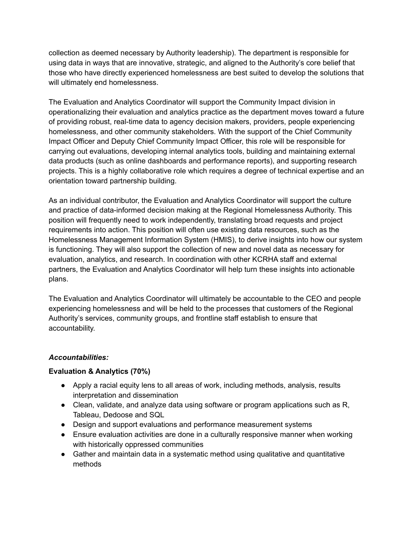collection as deemed necessary by Authority leadership). The department is responsible for using data in ways that are innovative, strategic, and aligned to the Authority's core belief that those who have directly experienced homelessness are best suited to develop the solutions that will ultimately end homelessness.

The Evaluation and Analytics Coordinator will support the Community Impact division in operationalizing their evaluation and analytics practice as the department moves toward a future of providing robust, real-time data to agency decision makers, providers, people experiencing homelessness, and other community stakeholders. With the support of the Chief Community Impact Officer and Deputy Chief Community Impact Officer, this role will be responsible for carrying out evaluations, developing internal analytics tools, building and maintaining external data products (such as online dashboards and performance reports), and supporting research projects. This is a highly collaborative role which requires a degree of technical expertise and an orientation toward partnership building.

As an individual contributor, the Evaluation and Analytics Coordinator will support the culture and practice of data-informed decision making at the Regional Homelessness Authority. This position will frequently need to work independently, translating broad requests and project requirements into action. This position will often use existing data resources, such as the Homelessness Management Information System (HMIS), to derive insights into how our system is functioning. They will also support the collection of new and novel data as necessary for evaluation, analytics, and research. In coordination with other KCRHA staff and external partners, the Evaluation and Analytics Coordinator will help turn these insights into actionable plans.

The Evaluation and Analytics Coordinator will ultimately be accountable to the CEO and people experiencing homelessness and will be held to the processes that customers of the Regional Authority's services, community groups, and frontline staff establish to ensure that accountability.

## *Accountabilities:*

## **Evaluation & Analytics (70%)**

- Apply a racial equity lens to all areas of work, including methods, analysis, results interpretation and dissemination
- Clean, validate, and analyze data using software or program applications such as R, Tableau, Dedoose and SQL
- Design and support evaluations and performance measurement systems
- Ensure evaluation activities are done in a culturally responsive manner when working with historically oppressed communities
- Gather and maintain data in a systematic method using qualitative and quantitative methods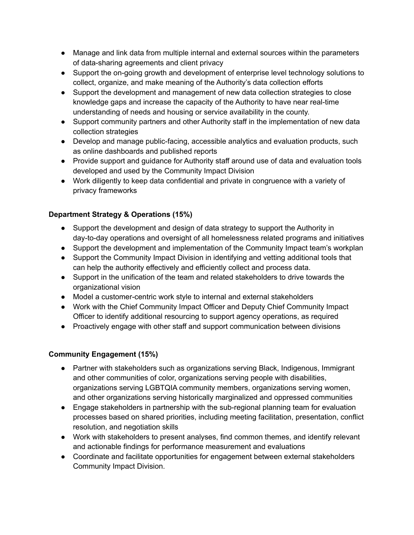- Manage and link data from multiple internal and external sources within the parameters of data-sharing agreements and client privacy
- Support the on-going growth and development of enterprise level technology solutions to collect, organize, and make meaning of the Authority's data collection efforts
- Support the development and management of new data collection strategies to close knowledge gaps and increase the capacity of the Authority to have near real-time understanding of needs and housing or service availability in the county.
- Support community partners and other Authority staff in the implementation of new data collection strategies
- Develop and manage public-facing, accessible analytics and evaluation products, such as online dashboards and published reports
- Provide support and guidance for Authority staff around use of data and evaluation tools developed and used by the Community Impact Division
- Work diligently to keep data confidential and private in congruence with a variety of privacy frameworks

## **Department Strategy & Operations (15%)**

- Support the development and design of data strategy to support the Authority in day-to-day operations and oversight of all homelessness related programs and initiatives
- Support the development and implementation of the Community Impact team's workplan
- Support the Community Impact Division in identifying and vetting additional tools that can help the authority effectively and efficiently collect and process data.
- Support in the unification of the team and related stakeholders to drive towards the organizational vision
- Model a customer-centric work style to internal and external stakeholders
- Work with the Chief Community Impact Officer and Deputy Chief Community Impact Officer to identify additional resourcing to support agency operations, as required
- Proactively engage with other staff and support communication between divisions

## **Community Engagement (15%)**

- Partner with stakeholders such as organizations serving Black, Indigenous, Immigrant and other communities of color, organizations serving people with disabilities, organizations serving LGBTQIA community members, organizations serving women, and other organizations serving historically marginalized and oppressed communities
- Engage stakeholders in partnership with the sub-regional planning team for evaluation processes based on shared priorities, including meeting facilitation, presentation, conflict resolution, and negotiation skills
- Work with stakeholders to present analyses, find common themes, and identify relevant and actionable findings for performance measurement and evaluations
- Coordinate and facilitate opportunities for engagement between external stakeholders Community Impact Division.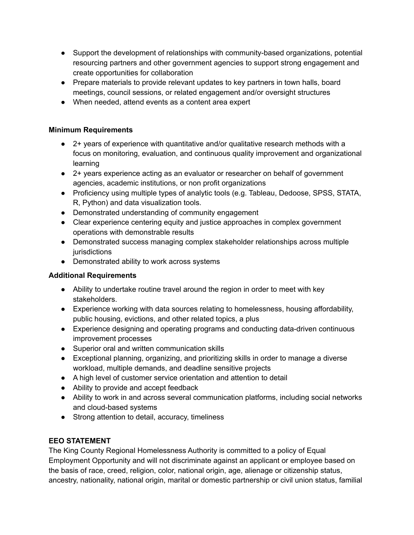- Support the development of relationships with community-based organizations, potential resourcing partners and other government agencies to support strong engagement and create opportunities for collaboration
- Prepare materials to provide relevant updates to key partners in town halls, board meetings, council sessions, or related engagement and/or oversight structures
- When needed, attend events as a content area expert

## **Minimum Requirements**

- 2+ years of experience with quantitative and/or qualitative research methods with a focus on monitoring, evaluation, and continuous quality improvement and organizational learning
- 2+ years experience acting as an evaluator or researcher on behalf of government agencies, academic institutions, or non profit organizations
- Proficiency using multiple types of analytic tools (e.g. Tableau, Dedoose, SPSS, STATA, R, Python) and data visualization tools.
- Demonstrated understanding of community engagement
- Clear experience centering equity and justice approaches in complex government operations with demonstrable results
- Demonstrated success managing complex stakeholder relationships across multiple jurisdictions
- Demonstrated ability to work across systems

## **Additional Requirements**

- Ability to undertake routine travel around the region in order to meet with key stakeholders.
- Experience working with data sources relating to homelessness, housing affordability, public housing, evictions, and other related topics, a plus
- Experience designing and operating programs and conducting data-driven continuous improvement processes
- Superior oral and written communication skills
- Exceptional planning, organizing, and prioritizing skills in order to manage a diverse workload, multiple demands, and deadline sensitive projects
- A high level of customer service orientation and attention to detail
- Ability to provide and accept feedback
- Ability to work in and across several communication platforms, including social networks and cloud-based systems
- Strong attention to detail, accuracy, timeliness

## **EEO STATEMENT**

The King County Regional Homelessness Authority is committed to a policy of Equal Employment Opportunity and will not discriminate against an applicant or employee based on the basis of race, creed, religion, color, national origin, age, alienage or citizenship status, ancestry, nationality, national origin, marital or domestic partnership or civil union status, familial